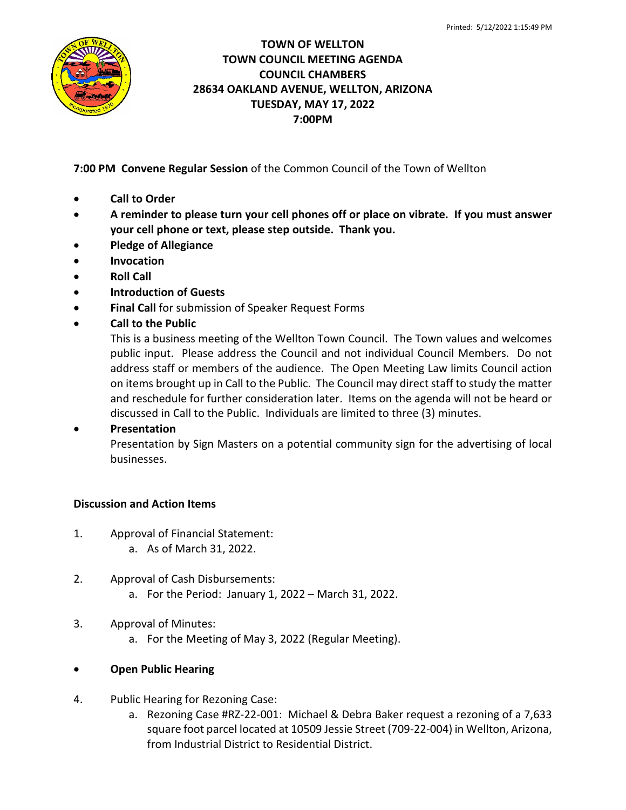

## **TOWN OF WELLTON TOWN COUNCIL MEETING AGENDA COUNCIL CHAMBERS 28634 OAKLAND AVENUE, WELLTON, ARIZONA TUESDAY, MAY 17, 2022 7:00PM**

**7:00 PM Convene Regular Session** of the Common Council of the Town of Wellton

- **Call to Order**
- **A reminder to please turn your cell phones off or place on vibrate. If you must answer your cell phone or text, please step outside. Thank you.**
- **Pledge of Allegiance**
- **Invocation**
- **Roll Call**
- **Introduction of Guests**
- **Final Call** for submission of Speaker Request Forms
- **Call to the Public**

This is a business meeting of the Wellton Town Council. The Town values and welcomes public input. Please address the Council and not individual Council Members. Do not address staff or members of the audience. The Open Meeting Law limits Council action on items brought up in Call to the Public. The Council may direct staff to study the matter and reschedule for further consideration later. Items on the agenda will not be heard or discussed in Call to the Public. Individuals are limited to three (3) minutes.

## • **Presentation**

Presentation by Sign Masters on a potential community sign for the advertising of local businesses.

# **Discussion and Action Items**

- 1. Approval of Financial Statement:
	- a. As of March 31, 2022.
- 2. Approval of Cash Disbursements: a. For the Period: January 1, 2022 – March 31, 2022.
- 3. Approval of Minutes:
	- a. For the Meeting of May 3, 2022 (Regular Meeting).
- **Open Public Hearing**
- 4. Public Hearing for Rezoning Case:
	- a. Rezoning Case #RZ-22-001: Michael & Debra Baker request a rezoning of a 7,633 square foot parcel located at 10509 Jessie Street (709-22-004) in Wellton, Arizona, from Industrial District to Residential District.